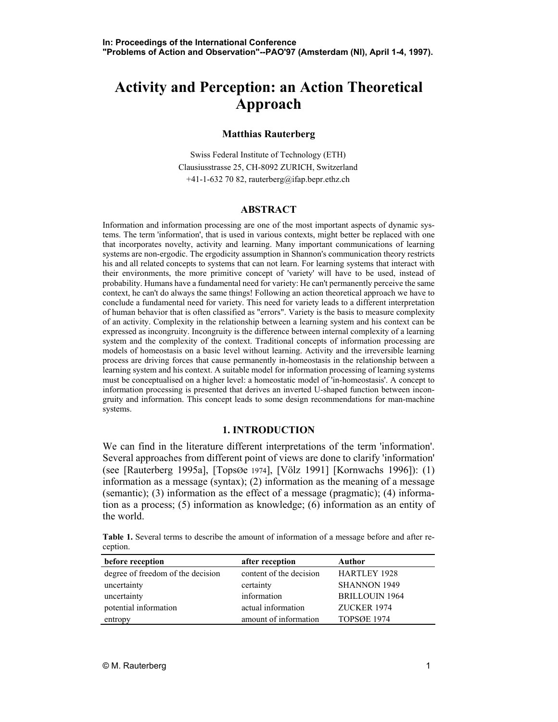# **Activity and Perception: an Action Theoretical Approach**

#### **Matthias Rauterberg**

Swiss Federal Institute of Technology (ETH) Clausiusstrasse 25, CH-8092 ZURICH, Switzerland +41-1-632 70 82, rauterberg@ifap.bepr.ethz.ch

#### **ABSTRACT**

Information and information processing are one of the most important aspects of dynamic systems. The term 'information', that is used in various contexts, might better be replaced with one that incorporates novelty, activity and learning. Many important communications of learning systems are non-ergodic. The ergodicity assumption in Shannon's communication theory restricts his and all related concepts to systems that can not learn. For learning systems that interact with their environments, the more primitive concept of 'variety' will have to be used, instead of probability. Humans have a fundamental need for variety: He can't permanently perceive the same context, he can't do always the same things! Following an action theoretical approach we have to conclude a fundamental need for variety. This need for variety leads to a different interpretation of human behavior that is often classified as "errors". Variety is the basis to measure complexity of an activity. Complexity in the relationship between a learning system and his context can be expressed as incongruity. Incongruity is the difference between internal complexity of a learning system and the complexity of the context. Traditional concepts of information processing are models of homeostasis on a basic level without learning. Activity and the irreversible learning process are driving forces that cause permanently in-homeostasis in the relationship between a learning system and his context. A suitable model for information processing of learning systems must be conceptualised on a higher level: a homeostatic model of 'in-homeostasis'. A concept to information processing is presented that derives an inverted U-shaped function between incongruity and information. This concept leads to some design recommendations for man-machine systems.

#### **1. INTRODUCTION**

We can find in the literature different interpretations of the term 'information'. Several approaches from different point of views are done to clarify 'information' (see [Rauterberg 1995a], [TopsØe 1974], [Völz 1991] [Kornwachs 1996]): (1) information as a message (syntax); (2) information as the meaning of a message (semantic); (3) information as the effect of a message (pragmatic); (4) information as a process; (5) information as knowledge; (6) information as an entity of the world.

**Table 1.** Several terms to describe the amount of information of a message before and after reception.

| before reception                  | after reception         | Author                |
|-----------------------------------|-------------------------|-----------------------|
| degree of freedom of the decision | content of the decision | <b>HARTLEY 1928</b>   |
| uncertainty                       | certainty               | <b>SHANNON 1949</b>   |
| uncertainty                       | information             | <b>BRILLOUIN 1964</b> |
| potential information             | actual information      | ZUCKER 1974           |
| entropy                           | amount of information   | <b>TOPSØE 1974</b>    |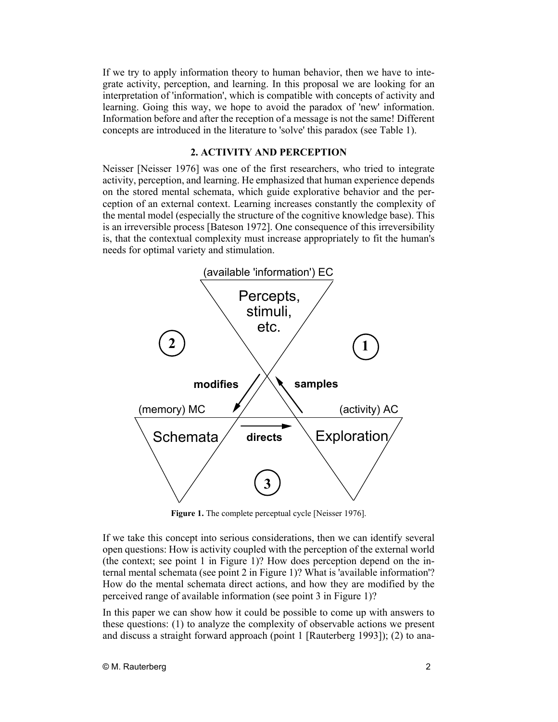If we try to apply information theory to human behavior, then we have to integrate activity, perception, and learning. In this proposal we are looking for an interpretation of 'information', which is compatible with concepts of activity and learning. Going this way, we hope to avoid the paradox of 'new' information. Information before and after the reception of a message is not the same! Different concepts are introduced in the literature to 'solve' this paradox (see Table 1).

#### **2. ACTIVITY AND PERCEPTION**

Neisser [Neisser 1976] was one of the first researchers, who tried to integrate activity, perception, and learning. He emphasized that human experience depends on the stored mental schemata, which guide explorative behavior and the perception of an external context. Learning increases constantly the complexity of the mental model (especially the structure of the cognitive knowledge base). This is an irreversible process [Bateson 1972]. One consequence of this irreversibility is, that the contextual complexity must increase appropriately to fit the human's needs for optimal variety and stimulation.



Figure 1. The complete perceptual cycle [Neisser 1976].

If we take this concept into serious considerations, then we can identify several open questions: How is activity coupled with the perception of the external world (the context; see point 1 in Figure 1)? How does perception depend on the internal mental schemata (see point 2 in Figure 1)? What is 'available information'? How do the mental schemata direct actions, and how they are modified by the perceived range of available information (see point 3 in Figure 1)?

In this paper we can show how it could be possible to come up with answers to these questions: (1) to analyze the complexity of observable actions we present and discuss a straight forward approach (point 1 [Rauterberg 1993]); (2) to ana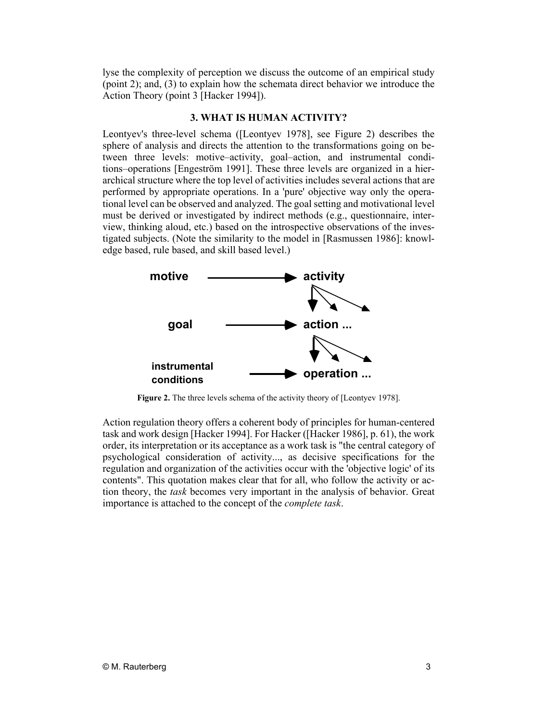lyse the complexity of perception we discuss the outcome of an empirical study (point 2); and, (3) to explain how the schemata direct behavior we introduce the Action Theory (point 3 [Hacker 1994]).

## **3. WHAT IS HUMAN ACTIVITY?**

Leontyev's three-level schema ([Leontyev 1978], see Figure 2) describes the sphere of analysis and directs the attention to the transformations going on between three levels: motive–activity, goal–action, and instrumental conditions–operations [Engeström 1991]. These three levels are organized in a hierarchical structure where the top level of activities includes several actions that are performed by appropriate operations. In a 'pure' objective way only the operational level can be observed and analyzed. The goal setting and motivational level must be derived or investigated by indirect methods (e.g., questionnaire, interview, thinking aloud, etc.) based on the introspective observations of the investigated subjects. (Note the similarity to the model in [Rasmussen 1986]: knowledge based, rule based, and skill based level.)



Figure 2. The three levels schema of the activity theory of [Leontyev 1978].

Action regulation theory offers a coherent body of principles for human-centered task and work design [Hacker 1994]. For Hacker ([Hacker 1986], p. 61), the work order, its interpretation or its acceptance as a work task is "the central category of psychological consideration of activity..., as decisive specifications for the regulation and organization of the activities occur with the 'objective logic' of its contents". This quotation makes clear that for all, who follow the activity or action theory, the *task* becomes very important in the analysis of behavior. Great importance is attached to the concept of the *complete task*.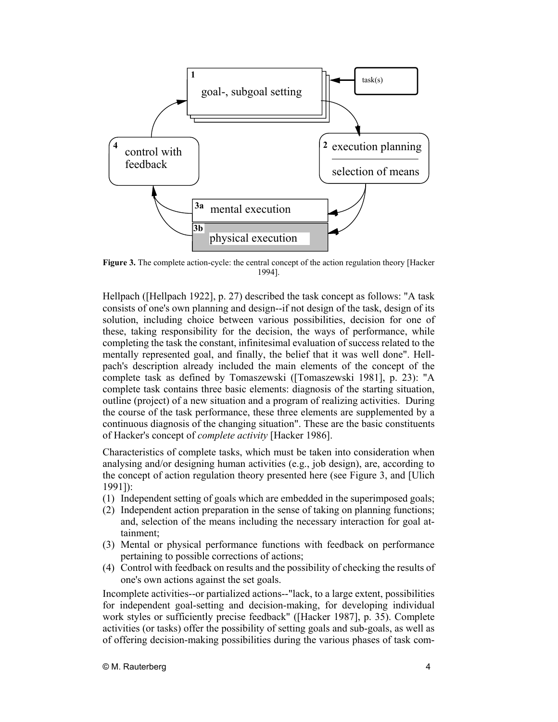

**Figure 3.** The complete action-cycle: the central concept of the action regulation theory [Hacker 1994].

Hellpach ([Hellpach 1922], p. 27) described the task concept as follows: "A task consists of one's own planning and design--if not design of the task, design of its solution, including choice between various possibilities, decision for one of these, taking responsibility for the decision, the ways of performance, while completing the task the constant, infinitesimal evaluation of success related to the mentally represented goal, and finally, the belief that it was well done". Hellpach's description already included the main elements of the concept of the complete task as defined by Tomaszewski ([Tomaszewski 1981], p. 23): "A complete task contains three basic elements: diagnosis of the starting situation, outline (project) of a new situation and a program of realizing activities. During the course of the task performance, these three elements are supplemented by a continuous diagnosis of the changing situation". These are the basic constituents of Hacker's concept of *complete activity* [Hacker 1986].

Characteristics of complete tasks, which must be taken into consideration when analysing and/or designing human activities (e.g., job design), are, according to the concept of action regulation theory presented here (see Figure 3, and [Ulich 1991]):

- (1) Independent setting of goals which are embedded in the superimposed goals;
- (2) Independent action preparation in the sense of taking on planning functions; and, selection of the means including the necessary interaction for goal attainment;
- (3) Mental or physical performance functions with feedback on performance pertaining to possible corrections of actions;
- (4) Control with feedback on results and the possibility of checking the results of one's own actions against the set goals.

Incomplete activities--or partialized actions--"lack, to a large extent, possibilities for independent goal-setting and decision-making, for developing individual work styles or sufficiently precise feedback" ([Hacker 1987], p. 35). Complete activities (or tasks) offer the possibility of setting goals and sub-goals, as well as of offering decision-making possibilities during the various phases of task com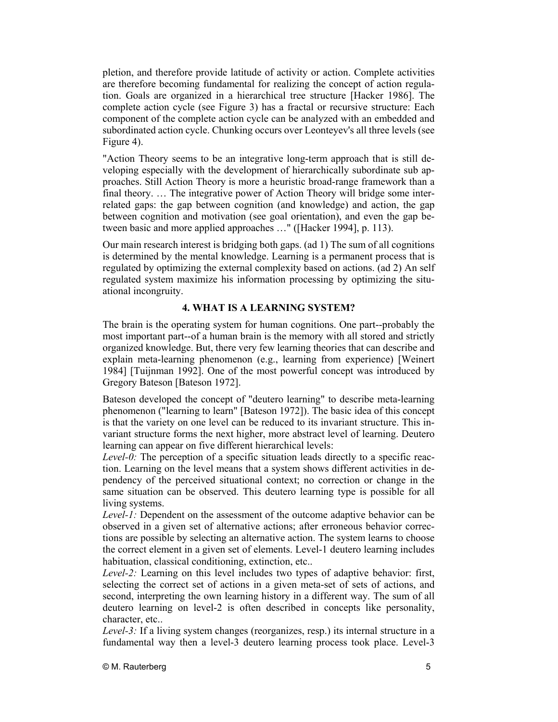pletion, and therefore provide latitude of activity or action. Complete activities are therefore becoming fundamental for realizing the concept of action regulation. Goals are organized in a hierarchical tree structure [Hacker 1986]. The complete action cycle (see Figure 3) has a fractal or recursive structure: Each component of the complete action cycle can be analyzed with an embedded and subordinated action cycle. Chunking occurs over Leonteyev's all three levels (see Figure 4).

"Action Theory seems to be an integrative long-term approach that is still developing especially with the development of hierarchically subordinate sub approaches. Still Action Theory is more a heuristic broad-range framework than a final theory. … The integrative power of Action Theory will bridge some interrelated gaps: the gap between cognition (and knowledge) and action, the gap between cognition and motivation (see goal orientation), and even the gap between basic and more applied approaches …" ([Hacker 1994], p. 113).

Our main research interest is bridging both gaps. (ad 1) The sum of all cognitions is determined by the mental knowledge. Learning is a permanent process that is regulated by optimizing the external complexity based on actions. (ad 2) An self regulated system maximize his information processing by optimizing the situational incongruity.

## **4. WHAT IS A LEARNING SYSTEM?**

The brain is the operating system for human cognitions. One part--probably the most important part--of a human brain is the memory with all stored and strictly organized knowledge. But, there very few learning theories that can describe and explain meta-learning phenomenon (e.g., learning from experience) [Weinert 1984] [Tuijnman 1992]. One of the most powerful concept was introduced by Gregory Bateson [Bateson 1972].

Bateson developed the concept of "deutero learning" to describe meta-learning phenomenon ("learning to learn" [Bateson 1972]). The basic idea of this concept is that the variety on one level can be reduced to its invariant structure. This invariant structure forms the next higher, more abstract level of learning. Deutero learning can appear on five different hierarchical levels:

*Level-0:* The perception of a specific situation leads directly to a specific reaction. Learning on the level means that a system shows different activities in dependency of the perceived situational context; no correction or change in the same situation can be observed. This deutero learning type is possible for all living systems.

*Level-1:* Dependent on the assessment of the outcome adaptive behavior can be observed in a given set of alternative actions; after erroneous behavior corrections are possible by selecting an alternative action. The system learns to choose the correct element in a given set of elements. Level-1 deutero learning includes habituation, classical conditioning, extinction, etc..

*Level-2:* Learning on this level includes two types of adaptive behavior: first, selecting the correct set of actions in a given meta-set of sets of actions, and second, interpreting the own learning history in a different way. The sum of all deutero learning on level-2 is often described in concepts like personality, character, etc..

*Level-3:* If a living system changes (reorganizes, resp.) its internal structure in a fundamental way then a level-3 deutero learning process took place. Level-3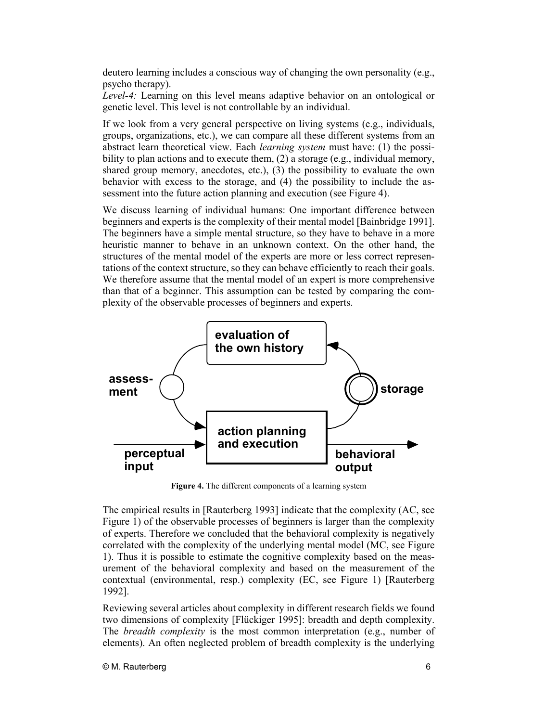deutero learning includes a conscious way of changing the own personality (e.g., psycho therapy).

*Level-4:* Learning on this level means adaptive behavior on an ontological or genetic level. This level is not controllable by an individual.

If we look from a very general perspective on living systems (e.g., individuals, groups, organizations, etc.), we can compare all these different systems from an abstract learn theoretical view. Each *learning system* must have: (1) the possibility to plan actions and to execute them, (2) a storage (e.g., individual memory, shared group memory, anecdotes, etc.), (3) the possibility to evaluate the own behavior with excess to the storage, and (4) the possibility to include the assessment into the future action planning and execution (see Figure 4).

We discuss learning of individual humans: One important difference between beginners and experts is the complexity of their mental model [Bainbridge 1991]. The beginners have a simple mental structure, so they have to behave in a more heuristic manner to behave in an unknown context. On the other hand, the structures of the mental model of the experts are more or less correct representations of the context structure, so they can behave efficiently to reach their goals. We therefore assume that the mental model of an expert is more comprehensive than that of a beginner. This assumption can be tested by comparing the complexity of the observable processes of beginners and experts.



**Figure 4.** The different components of a learning system

The empirical results in [Rauterberg 1993] indicate that the complexity (AC, see Figure 1) of the observable processes of beginners is larger than the complexity of experts. Therefore we concluded that the behavioral complexity is negatively correlated with the complexity of the underlying mental model (MC, see Figure 1). Thus it is possible to estimate the cognitive complexity based on the measurement of the behavioral complexity and based on the measurement of the contextual (environmental, resp.) complexity (EC, see Figure 1) [Rauterberg 1992].

Reviewing several articles about complexity in different research fields we found two dimensions of complexity [Flückiger 1995]: breadth and depth complexity. The *breadth complexity* is the most common interpretation (e.g., number of elements). An often neglected problem of breadth complexity is the underlying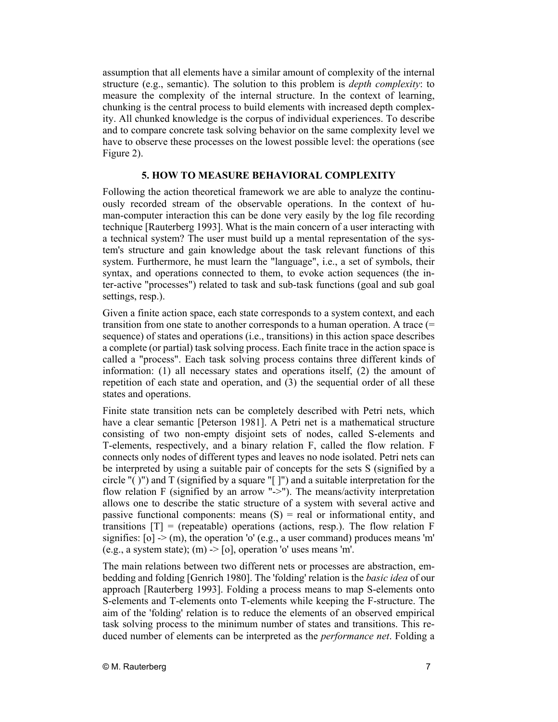assumption that all elements have a similar amount of complexity of the internal structure (e.g., semantic). The solution to this problem is *depth complexity*: to measure the complexity of the internal structure. In the context of learning, chunking is the central process to build elements with increased depth complexity. All chunked knowledge is the corpus of individual experiences. To describe and to compare concrete task solving behavior on the same complexity level we have to observe these processes on the lowest possible level: the operations (see Figure 2).

#### **5. HOW TO MEASURE BEHAVIORAL COMPLEXITY**

Following the action theoretical framework we are able to analyze the continuously recorded stream of the observable operations. In the context of human-computer interaction this can be done very easily by the log file recording technique [Rauterberg 1993]. What is the main concern of a user interacting with a technical system? The user must build up a mental representation of the system's structure and gain knowledge about the task relevant functions of this system. Furthermore, he must learn the "language", i.e., a set of symbols, their syntax, and operations connected to them, to evoke action sequences (the inter-active "processes") related to task and sub-task functions (goal and sub goal settings, resp.).

Given a finite action space, each state corresponds to a system context, and each transition from one state to another corresponds to a human operation. A trace (= sequence) of states and operations (i.e., transitions) in this action space describes a complete (or partial) task solving process. Each finite trace in the action space is called a "process". Each task solving process contains three different kinds of information: (1) all necessary states and operations itself, (2) the amount of repetition of each state and operation, and (3) the sequential order of all these states and operations.

Finite state transition nets can be completely described with Petri nets, which have a clear semantic [Peterson 1981]. A Petri net is a mathematical structure consisting of two non-empty disjoint sets of nodes, called S-elements and T-elements, respectively, and a binary relation F, called the flow relation. F connects only nodes of different types and leaves no node isolated. Petri nets can be interpreted by using a suitable pair of concepts for the sets S (signified by a circle " $()$ ") and T (signified by a square "[]") and a suitable interpretation for the flow relation F (signified by an arrow  $"$ ->"). The means/activity interpretation allows one to describe the static structure of a system with several active and passive functional components: means  $(S)$  = real or informational entity, and transitions  $[T]$  = (repeatable) operations (actions, resp.). The flow relation F signifies:  $\lceil o \rceil$  -> (m), the operation 'o' (e.g., a user command) produces means 'm' (e.g., a system state); (m)  $\rightarrow$  [o], operation 'o' uses means 'm'.

The main relations between two different nets or processes are abstraction, embedding and folding [Genrich 1980]. The 'folding' relation is the *basic idea* of our approach [Rauterberg 1993]. Folding a process means to map S-elements onto S-elements and T-elements onto T-elements while keeping the F-structure. The aim of the 'folding' relation is to reduce the elements of an observed empirical task solving process to the minimum number of states and transitions. This reduced number of elements can be interpreted as the *performance net*. Folding a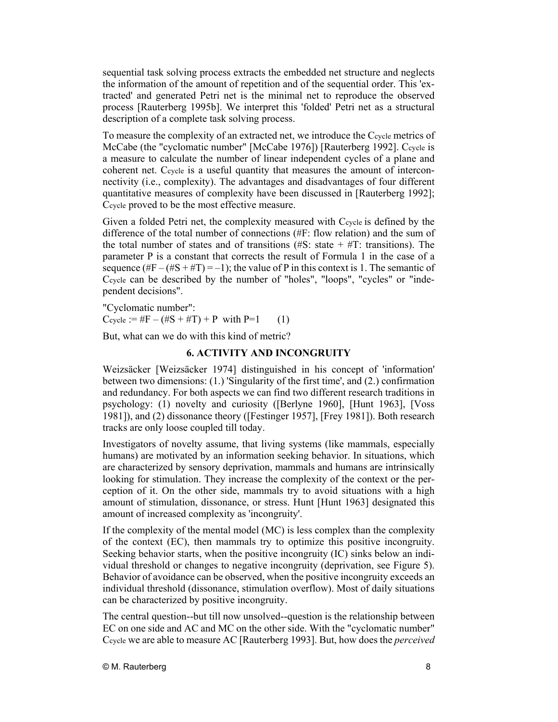sequential task solving process extracts the embedded net structure and neglects the information of the amount of repetition and of the sequential order. This 'extracted' and generated Petri net is the minimal net to reproduce the observed process [Rauterberg 1995b]. We interpret this 'folded' Petri net as a structural description of a complete task solving process.

To measure the complexity of an extracted net, we introduce the Ccycle metrics of McCabe (the "cyclomatic number" [McCabe 1976]) [Rauterberg 1992]. Cevele is a measure to calculate the number of linear independent cycles of a plane and coherent net. Ccycle is a useful quantity that measures the amount of interconnectivity (i.e., complexity). The advantages and disadvantages of four different quantitative measures of complexity have been discussed in [Rauterberg 1992]; Ccycle proved to be the most effective measure.

Given a folded Petri net, the complexity measured with Ccycle is defined by the difference of the total number of connections (#F: flow relation) and the sum of the total number of states and of transitions  $(\#S)$ : state +  $\#T$ : transitions). The parameter P is a constant that corrects the result of Formula 1 in the case of a sequence  $(\#F - (\#S + \#T) = -1)$ ; the value of P in this context is 1. The semantic of Ccycle can be described by the number of "holes", "loops", "cycles" or "independent decisions".

"Cyclomatic number": Ccycle :=  $\#F - (\#S + \#T) + P$  with P=1 (1)

But, what can we do with this kind of metric?

# **6. ACTIVITY AND INCONGRUITY**

Weizsäcker [Weizsäcker 1974] distinguished in his concept of 'information' between two dimensions: (1.) 'Singularity of the first time', and (2.) confirmation and redundancy. For both aspects we can find two different research traditions in psychology: (1) novelty and curiosity ([Berlyne 1960], [Hunt 1963], [Voss 1981]), and (2) dissonance theory ([Festinger 1957], [Frey 1981]). Both research tracks are only loose coupled till today.

Investigators of novelty assume, that living systems (like mammals, especially humans) are motivated by an information seeking behavior. In situations, which are characterized by sensory deprivation, mammals and humans are intrinsically looking for stimulation. They increase the complexity of the context or the perception of it. On the other side, mammals try to avoid situations with a high amount of stimulation, dissonance, or stress. Hunt [Hunt 1963] designated this amount of increased complexity as 'incongruity'.

If the complexity of the mental model (MC) is less complex than the complexity of the context (EC), then mammals try to optimize this positive incongruity. Seeking behavior starts, when the positive incongruity (IC) sinks below an individual threshold or changes to negative incongruity (deprivation, see Figure 5). Behavior of avoidance can be observed, when the positive incongruity exceeds an individual threshold (dissonance, stimulation overflow). Most of daily situations can be characterized by positive incongruity.

The central question--but till now unsolved--question is the relationship between EC on one side and AC and MC on the other side. With the "cyclomatic number" Ccycle we are able to measure AC [Rauterberg 1993]. But, how does the *perceived*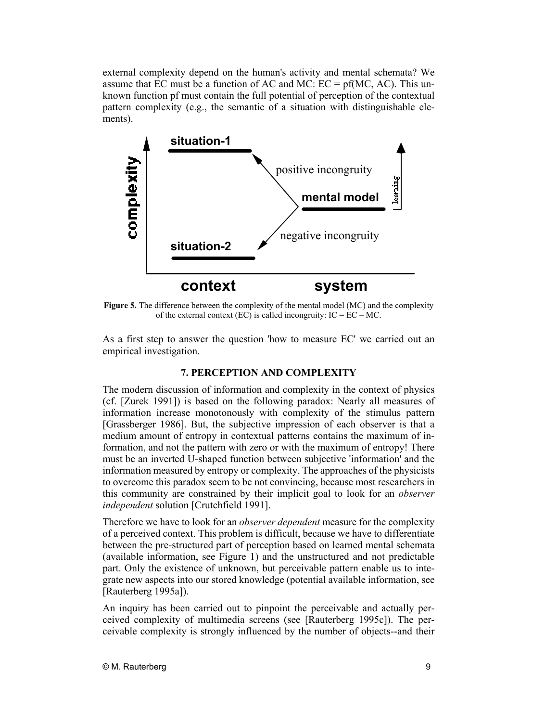external complexity depend on the human's activity and mental schemata? We assume that EC must be a function of AC and MC:  $EC = pf(MC, AC)$ . This unknown function pf must contain the full potential of perception of the contextual pattern complexity (e.g., the semantic of a situation with distinguishable elements).



**Figure 5.** The difference between the complexity of the mental model (MC) and the complexity of the external context (EC) is called incongruity:  $IC = EC - MC$ .

As a first step to answer the question 'how to measure EC' we carried out an empirical investigation.

## **7. PERCEPTION AND COMPLEXITY**

The modern discussion of information and complexity in the context of physics (cf. [Zurek 1991]) is based on the following paradox: Nearly all measures of information increase monotonously with complexity of the stimulus pattern [Grassberger 1986]. But, the subjective impression of each observer is that a medium amount of entropy in contextual patterns contains the maximum of information, and not the pattern with zero or with the maximum of entropy! There must be an inverted U-shaped function between subjective 'information' and the information measured by entropy or complexity. The approaches of the physicists to overcome this paradox seem to be not convincing, because most researchers in this community are constrained by their implicit goal to look for an *observer independent* solution [Crutchfield 1991].

Therefore we have to look for an *observer dependent* measure for the complexity of a perceived context. This problem is difficult, because we have to differentiate between the pre-structured part of perception based on learned mental schemata (available information, see Figure 1) and the unstructured and not predictable part. Only the existence of unknown, but perceivable pattern enable us to integrate new aspects into our stored knowledge (potential available information, see [Rauterberg 1995a]).

An inquiry has been carried out to pinpoint the perceivable and actually perceived complexity of multimedia screens (see [Rauterberg 1995c]). The perceivable complexity is strongly influenced by the number of objects--and their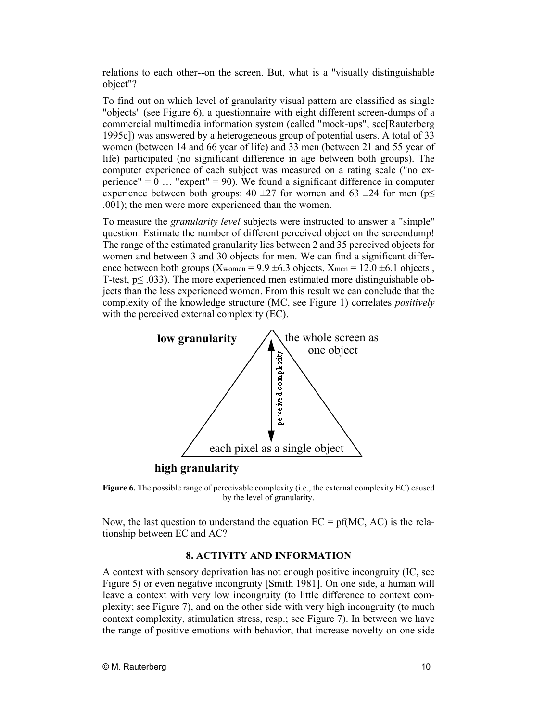relations to each other--on the screen. But, what is a "visually distinguishable object"?

To find out on which level of granularity visual pattern are classified as single "objects" (see Figure 6), a questionnaire with eight different screen-dumps of a commercial multimedia information system (called "mock-ups", see[Rauterberg 1995c]) was answered by a heterogeneous group of potential users. A total of 33 women (between 14 and 66 year of life) and 33 men (between 21 and 55 year of life) participated (no significant difference in age between both groups). The computer experience of each subject was measured on a rating scale ("no experience" =  $0$  ... "expert" = 90). We found a significant difference in computer experience between both groups:  $40 \pm 27$  for women and  $63 \pm 24$  for men ( $p \le$ .001); the men were more experienced than the women.

To measure the *granularity level* subjects were instructed to answer a "simple" question: Estimate the number of different perceived object on the screendump! The range of the estimated granularity lies between 2 and 35 perceived objects for women and between 3 and 30 objects for men. We can find a significant difference between both groups (Xwomen =  $9.9 \pm 6.3$  objects, Xmen =  $12.0 \pm 6.1$  objects, T-test,  $p \leq 0.033$ ). The more experienced men estimated more distinguishable objects than the less experienced women. From this result we can conclude that the complexity of the knowledge structure (MC, see Figure 1) correlates *positively* with the perceived external complexity (EC).



**high granularity**

**Figure 6.** The possible range of perceivable complexity (i.e., the external complexity EC) caused by the level of granularity.

Now, the last question to understand the equation  $EC = pf(MC, AC)$  is the relationship between EC and AC?

## **8. ACTIVITY AND INFORMATION**

A context with sensory deprivation has not enough positive incongruity (IC, see Figure 5) or even negative incongruity [Smith 1981]. On one side, a human will leave a context with very low incongruity (to little difference to context complexity; see Figure 7), and on the other side with very high incongruity (to much context complexity, stimulation stress, resp.; see Figure 7). In between we have the range of positive emotions with behavior, that increase novelty on one side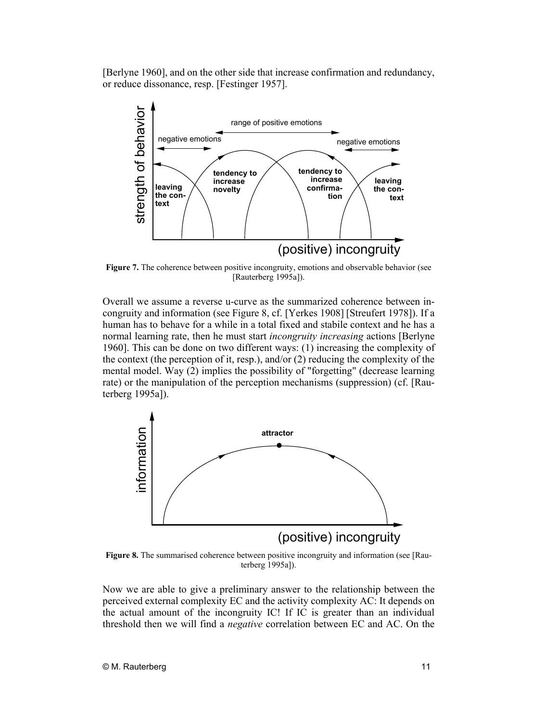[Berlyne 1960], and on the other side that increase confirmation and redundancy, or reduce dissonance, resp. [Festinger 1957].



**Figure 7.** The coherence between positive incongruity, emotions and observable behavior (see [Rauterberg 1995a]).

Overall we assume a reverse u-curve as the summarized coherence between incongruity and information (see Figure 8, cf. [Yerkes 1908] [Streufert 1978]). If a human has to behave for a while in a total fixed and stabile context and he has a normal learning rate, then he must start *incongruity increasing* actions [Berlyne 1960]. This can be done on two different ways: (1) increasing the complexity of the context (the perception of it, resp.), and/or  $(2)$  reducing the complexity of the mental model. Way (2) implies the possibility of "forgetting" (decrease learning rate) or the manipulation of the perception mechanisms (suppression) (cf. [Rauterberg 1995a]).



**Figure 8.** The summarised coherence between positive incongruity and information (see [Rauterberg 1995a]).

Now we are able to give a preliminary answer to the relationship between the perceived external complexity EC and the activity complexity AC: It depends on the actual amount of the incongruity IC! If IC is greater than an individual threshold then we will find a *negative* correlation between EC and AC. On the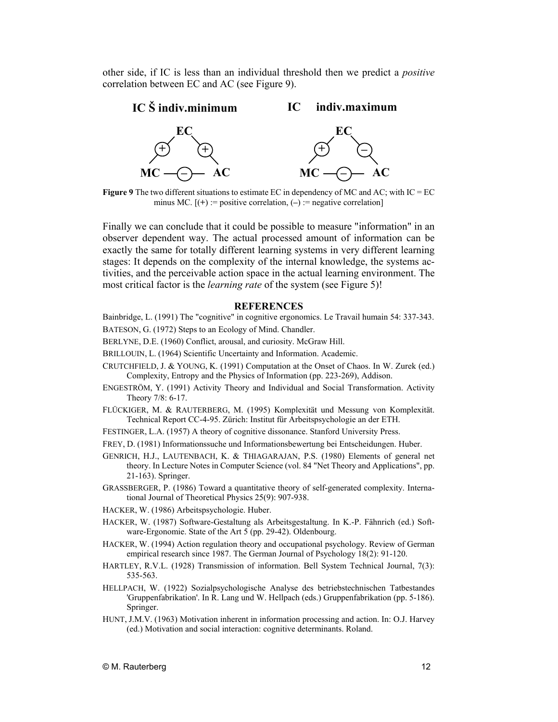other side, if IC is less than an individual threshold then we predict a *positive* correlation between EC and AC (see Figure 9).



**Figure 9** The two different situations to estimate EC in dependency of MC and AC; with  $IC = EC$ minus MC.  $[(+) := positive correlation, (-) := negative correlation]$ 

Finally we can conclude that it could be possible to measure "information" in an observer dependent way. The actual processed amount of information can be exactly the same for totally different learning systems in very different learning stages: It depends on the complexity of the internal knowledge, the systems activities, and the perceivable action space in the actual learning environment. The most critical factor is the *learning rate* of the system (see Figure 5)!

#### **REFERENCES**

- Bainbridge, L. (1991) The "cognitive" in cognitive ergonomics. Le Travail humain 54: 337-343. BATESON, G. (1972) Steps to an Ecology of Mind. Chandler.
- BERLYNE, D.E. (1960) Conflict, arousal, and curiosity. McGraw Hill.
- BRILLOUIN, L. (1964) Scientific Uncertainty and Information. Academic.
- CRUTCHFIELD, J. & YOUNG, K. (1991) Computation at the Onset of Chaos. In W. Zurek (ed.) Complexity, Entropy and the Physics of Information (pp. 223-269), Addison.
- ENGESTRÖM, Y. (1991) Activity Theory and Individual and Social Transformation. Activity Theory 7/8: 6-17.
- FLÜCKIGER, M. & RAUTERBERG, M. (1995) Komplexität und Messung von Komplexität. Technical Report CC-4-95. Zürich: Institut für Arbeitspsychologie an der ETH.
- FESTINGER, L.A. (1957) A theory of cognitive dissonance. Stanford University Press.
- FREY, D. (1981) Informationssuche und Informationsbewertung bei Entscheidungen. Huber.
- GENRICH, H.J., LAUTENBACH, K. & THIAGARAJAN, P.S. (1980) Elements of general net theory. In Lecture Notes in Computer Science (vol. 84 "Net Theory and Applications", pp. 21-163). Springer.
- GRASSBERGER, P. (1986) Toward a quantitative theory of self-generated complexity. International Journal of Theoretical Physics 25(9): 907-938.
- HACKER, W. (1986) Arbeitspsychologie. Huber.
- HACKER, W. (1987) Software-Gestaltung als Arbeitsgestaltung. In K.-P. Fähnrich (ed.) Software-Ergonomie. State of the Art 5 (pp. 29-42). Oldenbourg.
- HACKER, W. (1994) Action regulation theory and occupational psychology. Review of German empirical research since 1987. The German Journal of Psychology 18(2): 91-120.
- HARTLEY, R.V.L. (1928) Transmission of information. Bell System Technical Journal, 7(3): 535-563.
- HELLPACH, W. (1922) Sozialpsychologische Analyse des betriebstechnischen Tatbestandes 'Gruppenfabrikation'. In R. Lang und W. Hellpach (eds.) Gruppenfabrikation (pp. 5-186). Springer.
- HUNT, J.M.V. (1963) Motivation inherent in information processing and action. In: O.J. Harvey (ed.) Motivation and social interaction: cognitive determinants. Roland.